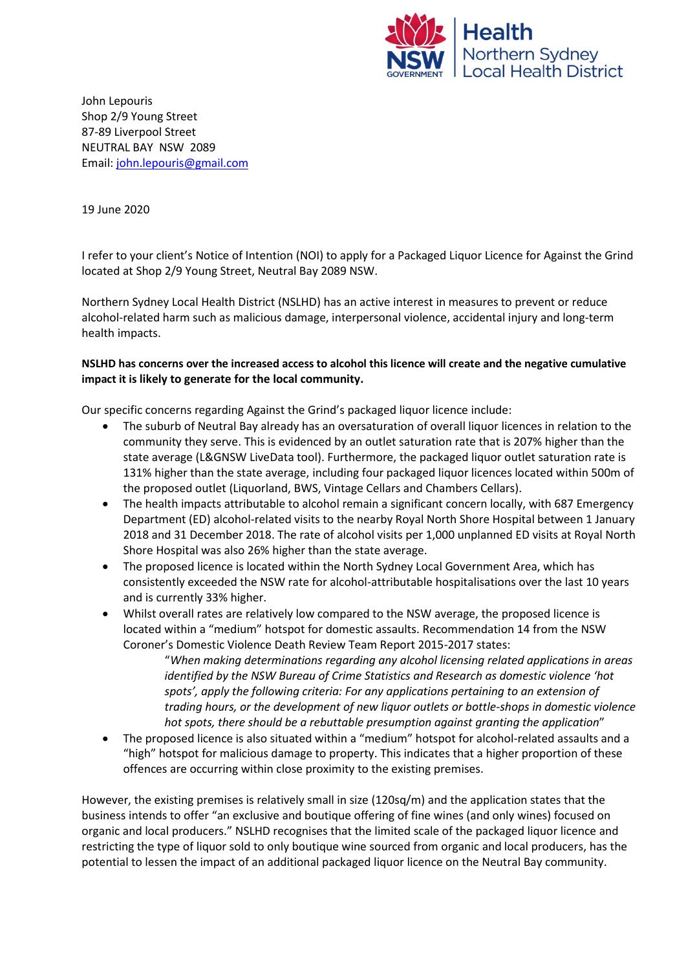

John Lepouris Shop 2/9 Young Street 87-89 Liverpool Street NEUTRAL BAY NSW 2089 Email: [john.lepouris@gmail.com](mailto:john.lepouris@gmail.com)

19 June 2020

I refer to your client's Notice of Intention (NOI) to apply for a Packaged Liquor Licence for Against the Grind located at Shop 2/9 Young Street, Neutral Bay 2089 NSW.

Northern Sydney Local Health District (NSLHD) has an active interest in measures to prevent or reduce alcohol-related harm such as malicious damage, interpersonal violence, accidental injury and long-term health impacts.

## **NSLHD has concerns over the increased access to alcohol this licence will create and the negative cumulative impact it is likely to generate for the local community.**

Our specific concerns regarding Against the Grind's packaged liquor licence include:

- The suburb of Neutral Bay already has an oversaturation of overall liquor licences in relation to the community they serve. This is evidenced by an outlet saturation rate that is 207% higher than the state average (L&GNSW LiveData tool). Furthermore, the packaged liquor outlet saturation rate is 131% higher than the state average, including four packaged liquor licences located within 500m of the proposed outlet (Liquorland, BWS, Vintage Cellars and Chambers Cellars).
- The health impacts attributable to alcohol remain a significant concern locally, with 687 Emergency Department (ED) alcohol-related visits to the nearby Royal North Shore Hospital between 1 January 2018 and 31 December 2018. The rate of alcohol visits per 1,000 unplanned ED visits at Royal North Shore Hospital was also 26% higher than the state average.
- The proposed licence is located within the North Sydney Local Government Area, which has consistently exceeded the NSW rate for alcohol-attributable hospitalisations over the last 10 years and is currently 33% higher.
- Whilst overall rates are relatively low compared to the NSW average, the proposed licence is located within a "medium" hotspot for domestic assaults. Recommendation 14 from the NSW Coroner's Domestic Violence Death Review Team Report 2015-2017 states:

"*When making determinations regarding any alcohol licensing related applications in areas identified by the NSW Bureau of Crime Statistics and Research as domestic violence 'hot spots', apply the following criteria: For any applications pertaining to an extension of trading hours, or the development of new liquor outlets or bottle-shops in domestic violence hot spots, there should be a rebuttable presumption against granting the application*"

 The proposed licence is also situated within a "medium" hotspot for alcohol-related assaults and a "high" hotspot for malicious damage to property. This indicates that a higher proportion of these offences are occurring within close proximity to the existing premises.

However, the existing premises is relatively small in size (120sq/m) and the application states that the business intends to offer "an exclusive and boutique offering of fine wines (and only wines) focused on organic and local producers." NSLHD recognises that the limited scale of the packaged liquor licence and restricting the type of liquor sold to only boutique wine sourced from organic and local producers, has the potential to lessen the impact of an additional packaged liquor licence on the Neutral Bay community.